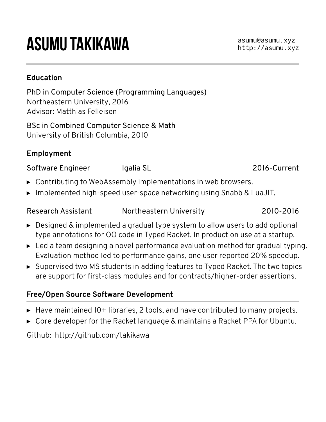# asumu@asumu.xyz **Asumu Takikawa** http://asumu.xyz

### **Education**

PhD in Computer Science (Programming Languages) Northeastern University, 2016 Advisor: Matthias Felleisen

BSc in Combined Computer Science & Math University of British Columbia, 2010

# **Employment**

Software Engineer Igalia SL 2016-Current

- ▸ Contributing to WebAssembly implementations in web browsers.
- ▸ Implemented high-speed user-space networking using Snabb & LuaJIT.

| <b>Research Assistant</b> | Northeastern University | 2010-2016 |
|---------------------------|-------------------------|-----------|
|                           |                         |           |

- ▸ Designed & implemented a gradual type system to allow users to add optional type annotations for OO code in Typed Racket. In production use at a startup.
- ► Led a team designing a novel performance evaluation method for gradual typing. Evaluation method led to performance gains, one user reported 20% speedup.
- ▸ Supervised two MS students in adding features to Typed Racket. The two topics are support for first-class modules and for contracts/higher-order assertions.

## **Free/Open Source Software Development**

- ▸ Have maintained 10+ libraries, 2 tools, and have contributed to many projects.
- ▸ Core developer for the Racket language & maintains a Racket PPA for Ubuntu.

Github: http://github.com/takikawa